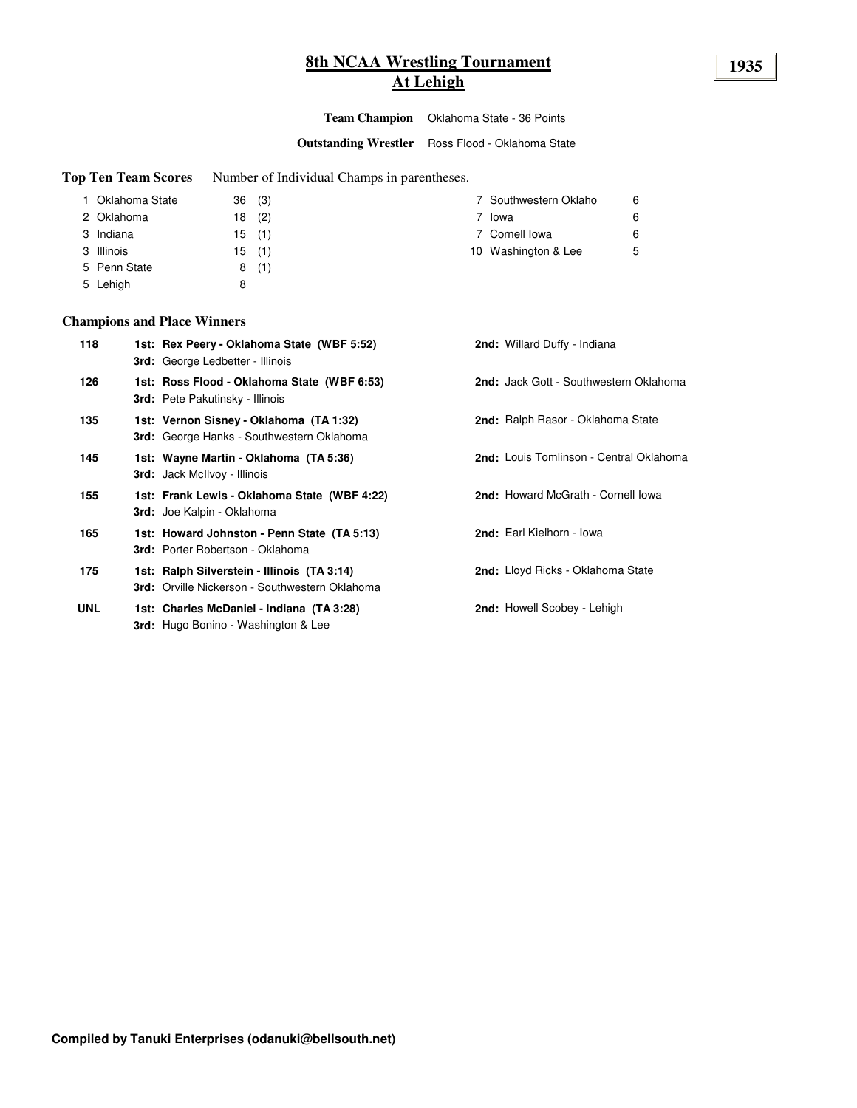# **8th NCAA Wrestling Tournament 1935 At Lehigh**

**Team Champion** Oklahoma State - 36 Points

**Outstanding Wrestler** Ross Flood - Oklahoma State

**Top Ten Team Scores** Number of Individual Champs in parentheses.

| 1 Oklahoma State |    | 36(3) | 7 Southwestern Oklaho | 6 |
|------------------|----|-------|-----------------------|---|
| 2 Oklahoma       | 18 | (2)   | Iowa                  | 6 |
| 3 Indiana        |    | 15(1) | 7 Cornell lowa        | 6 |
| 3 Illinois       |    | 15(1) | 10 Washington & Lee   | 5 |
| 5 Penn State     |    | 8(1)  |                       |   |
| 5 Lehigh         | 8  |       |                       |   |

### **Champions and Place Winners**

| 118        | 1st: Rex Peery - Oklahoma State (WBF 5:52)<br><b>3rd:</b> George Ledbetter - Illinois         | <b>2nd:</b> Willard Duffy - Indiana      |
|------------|-----------------------------------------------------------------------------------------------|------------------------------------------|
| 126        | 1st: Ross Flood - Oklahoma State (WBF 6:53)<br><b>3rd:</b> Pete Pakutinsky - Illinois         | 2nd: Jack Gott - Southwestern Oklahoma   |
| 135        | 1st: Vernon Sisney - Oklahoma (TA 1:32)<br><b>3rd:</b> George Hanks - Southwestern Oklahoma   | <b>2nd:</b> Ralph Rasor - Oklahoma State |
| 145        | 1st: Wayne Martin - Oklahoma (TA 5:36)<br><b>3rd:</b> Jack McIlvoy - Illinois                 | 2nd: Louis Tomlinson - Central Oklahoma  |
| 155        | 1st: Frank Lewis - Oklahoma State (WBF 4:22)<br><b>3rd:</b> Joe Kalpin - Oklahoma             | 2nd: Howard McGrath - Cornell Iowa       |
| 165        | 1st: Howard Johnston - Penn State (TA 5:13)<br><b>3rd:</b> Porter Robertson - Oklahoma        | 2nd: Earl Kielhorn - Iowa                |
| 175        | 1st: Ralph Silverstein - Illinois (TA 3:14)<br>3rd: Orville Nickerson - Southwestern Oklahoma | <b>2nd:</b> Lloyd Ricks - Oklahoma State |
| <b>UNL</b> | 1st: Charles McDaniel - Indiana (TA 3:28)<br><b>3rd:</b> Hugo Bonino - Washington & Lee       | 2nd: Howell Scobey - Lehigh              |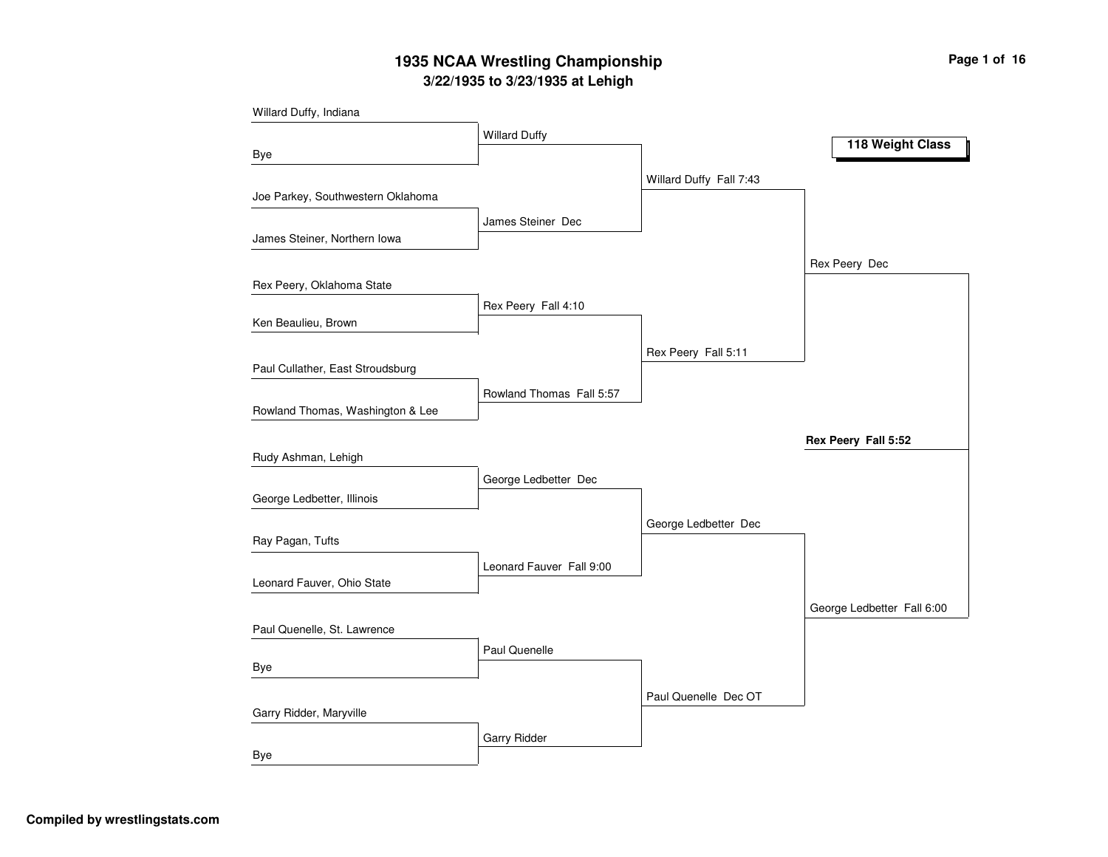## **3/22/1935 to 3/23/1935 at Lehigh 1935 NCAA Wrestling Championship Page <sup>1</sup> of <sup>16</sup>**

| Willard Duffy, Indiana            |                          |                         |                            |
|-----------------------------------|--------------------------|-------------------------|----------------------------|
|                                   | <b>Willard Duffy</b>     |                         |                            |
| Bye                               |                          |                         | 118 Weight Class           |
|                                   |                          | Willard Duffy Fall 7:43 |                            |
| Joe Parkey, Southwestern Oklahoma |                          |                         |                            |
|                                   | James Steiner Dec        |                         |                            |
| James Steiner, Northern Iowa      |                          |                         |                            |
|                                   |                          |                         | Rex Peery Dec              |
| Rex Peery, Oklahoma State         |                          |                         |                            |
|                                   | Rex Peery Fall 4:10      |                         |                            |
| Ken Beaulieu, Brown               |                          |                         |                            |
|                                   |                          | Rex Peery Fall 5:11     |                            |
| Paul Cullather, East Stroudsburg  |                          |                         |                            |
|                                   | Rowland Thomas Fall 5:57 |                         |                            |
| Rowland Thomas, Washington & Lee  |                          |                         |                            |
|                                   |                          |                         | Rex Peery Fall 5:52        |
| Rudy Ashman, Lehigh               |                          |                         |                            |
|                                   | George Ledbetter Dec     |                         |                            |
| George Ledbetter, Illinois        |                          |                         |                            |
|                                   |                          | George Ledbetter Dec    |                            |
| Ray Pagan, Tufts                  |                          |                         |                            |
|                                   | Leonard Fauver Fall 9:00 |                         |                            |
| Leonard Fauver, Ohio State        |                          |                         |                            |
|                                   |                          |                         | George Ledbetter Fall 6:00 |
| Paul Quenelle, St. Lawrence       |                          |                         |                            |
|                                   | Paul Quenelle            |                         |                            |
| Bye                               |                          |                         |                            |
|                                   |                          | Paul Quenelle Dec OT    |                            |
| Garry Ridder, Maryville           |                          |                         |                            |
|                                   | Garry Ridder             |                         |                            |
| <b>Bye</b>                        |                          |                         |                            |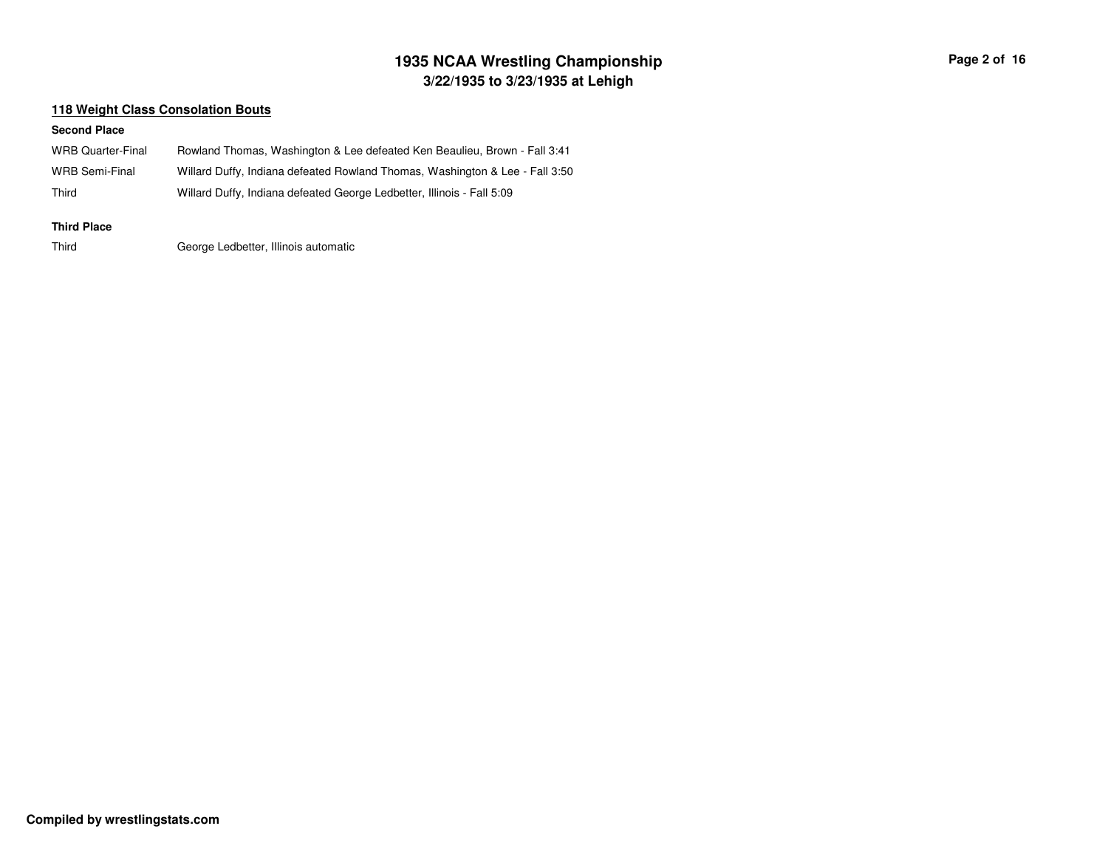## **3/22/1935 to 3/23/1935 at Lehigh 1935 NCAA Wrestling Championship Page <sup>2</sup> of <sup>16</sup>**

### **118 Weight Class Consolation Bouts**

#### **Second Place**

| WRB Quarter-Final     | Rowland Thomas, Washington & Lee defeated Ken Beaulieu, Brown - Fall 3:41    |
|-----------------------|------------------------------------------------------------------------------|
| <b>WRB Semi-Final</b> | Willard Duffy, Indiana defeated Rowland Thomas, Washington & Lee - Fall 3:50 |
| Third                 | Willard Duffy, Indiana defeated George Ledbetter, Illinois - Fall 5:09       |
| <b>Third Place</b>    |                                                                              |
| Third                 | George Ledbetter, Illinois automatic                                         |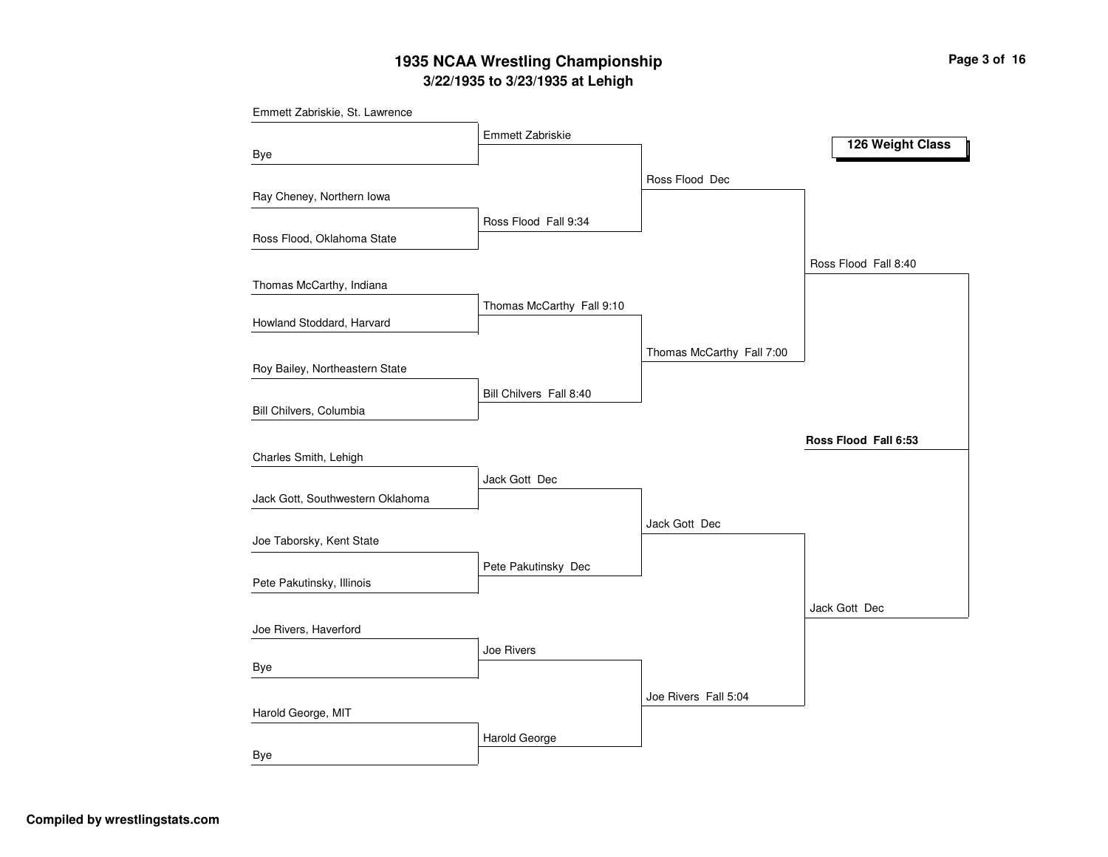## **3/22/1935 to 3/23/1935 at Lehigh 1935 NCAA Wrestling Championship Page <sup>3</sup> of <sup>16</sup>**

| Emmett Zabriskie, St. Lawrence   |                           |                           |                      |
|----------------------------------|---------------------------|---------------------------|----------------------|
|                                  | Emmett Zabriskie          |                           |                      |
| Bye                              |                           |                           | 126 Weight Class     |
|                                  |                           | Ross Flood Dec            |                      |
| Ray Cheney, Northern Iowa        |                           |                           |                      |
|                                  | Ross Flood Fall 9:34      |                           |                      |
| Ross Flood, Oklahoma State       |                           |                           |                      |
|                                  |                           |                           | Ross Flood Fall 8:40 |
| Thomas McCarthy, Indiana         |                           |                           |                      |
|                                  | Thomas McCarthy Fall 9:10 |                           |                      |
| Howland Stoddard, Harvard        |                           |                           |                      |
|                                  |                           | Thomas McCarthy Fall 7:00 |                      |
| Roy Bailey, Northeastern State   |                           |                           |                      |
|                                  | Bill Chilvers Fall 8:40   |                           |                      |
| Bill Chilvers, Columbia          |                           |                           |                      |
|                                  |                           |                           | Ross Flood Fall 6:53 |
| Charles Smith, Lehigh            |                           |                           |                      |
|                                  | Jack Gott Dec             |                           |                      |
| Jack Gott, Southwestern Oklahoma |                           |                           |                      |
|                                  |                           | Jack Gott Dec             |                      |
| Joe Taborsky, Kent State         |                           |                           |                      |
|                                  | Pete Pakutinsky Dec       |                           |                      |
| Pete Pakutinsky, Illinois        |                           |                           |                      |
|                                  |                           |                           | Jack Gott Dec        |
| Joe Rivers, Haverford            |                           |                           |                      |
|                                  | Joe Rivers                |                           |                      |
| Bye                              |                           |                           |                      |
|                                  |                           | Joe Rivers Fall 5:04      |                      |
| Harold George, MIT               |                           |                           |                      |
|                                  | Harold George             |                           |                      |
| <b>Bye</b>                       |                           |                           |                      |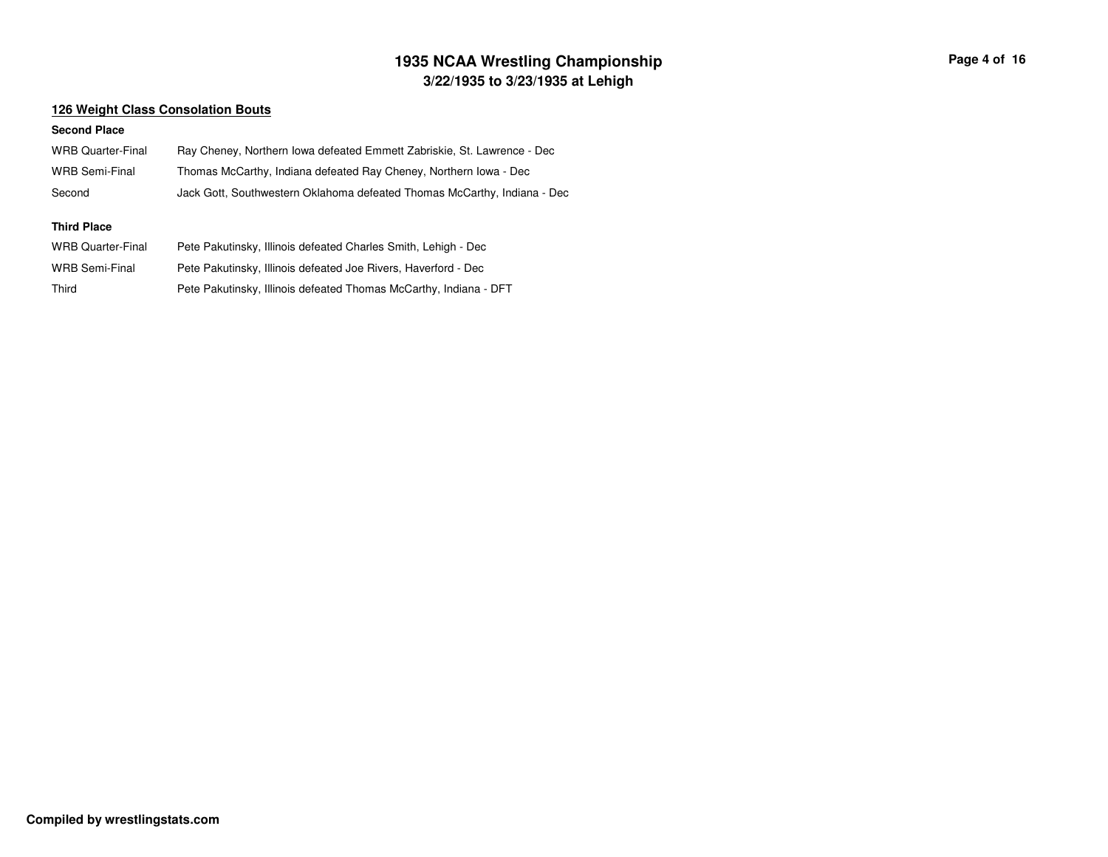## **3/22/1935 to 3/23/1935 at Lehigh 1935 NCAA Wrestling Championship Page <sup>4</sup> of <sup>16</sup>**

### **126 Weight Class Consolation Bouts**

#### **Second Place**

| <b>WRB Quarter-Final</b> | Ray Cheney, Northern Iowa defeated Emmett Zabriskie, St. Lawrence - Dec  |
|--------------------------|--------------------------------------------------------------------------|
| <b>WRB Semi-Final</b>    | Thomas McCarthy, Indiana defeated Ray Cheney, Northern Iowa - Dec        |
| Second                   | Jack Gott, Southwestern Oklahoma defeated Thomas McCarthy, Indiana - Dec |
| <b>Third Place</b>       |                                                                          |
| <b>WRB Quarter-Final</b> | Pete Pakutinsky, Illinois defeated Charles Smith, Lehigh - Dec           |
| <b>WRB Semi-Final</b>    | Pete Pakutinsky, Illinois defeated Joe Rivers, Haverford - Dec           |
| Third                    | Pete Pakutinsky, Illinois defeated Thomas McCarthy, Indiana - DFT        |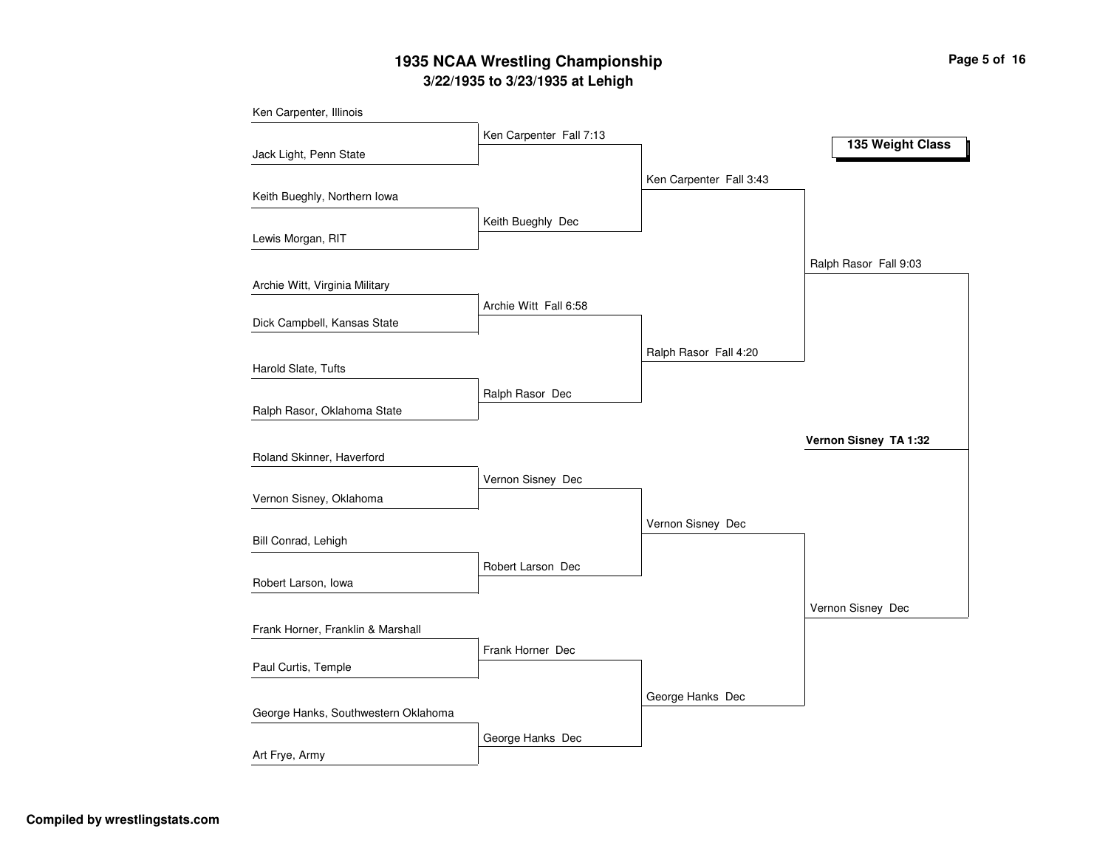## **3/22/1935 to 3/23/1935 at Lehigh 1935 NCAA Wrestling Championship Page <sup>5</sup> of <sup>16</sup>**

| Ken Carpenter, Illinois             |                         |                         |                       |
|-------------------------------------|-------------------------|-------------------------|-----------------------|
|                                     | Ken Carpenter Fall 7:13 |                         | 135 Weight Class      |
| Jack Light, Penn State              |                         |                         |                       |
|                                     |                         | Ken Carpenter Fall 3:43 |                       |
| Keith Bueghly, Northern Iowa        |                         |                         |                       |
|                                     | Keith Bueghly Dec       |                         |                       |
| Lewis Morgan, RIT                   |                         |                         |                       |
|                                     |                         |                         | Ralph Rasor Fall 9:03 |
| Archie Witt, Virginia Military      |                         |                         |                       |
|                                     | Archie Witt Fall 6:58   |                         |                       |
| Dick Campbell, Kansas State         |                         |                         |                       |
|                                     |                         |                         |                       |
|                                     |                         | Ralph Rasor Fall 4:20   |                       |
| Harold Slate, Tufts                 |                         |                         |                       |
|                                     | Ralph Rasor Dec         |                         |                       |
| Ralph Rasor, Oklahoma State         |                         |                         |                       |
|                                     |                         |                         | Vernon Sisney TA 1:32 |
| Roland Skinner, Haverford           |                         |                         |                       |
|                                     | Vernon Sisney Dec       |                         |                       |
| Vernon Sisney, Oklahoma             |                         |                         |                       |
|                                     |                         |                         |                       |
| Bill Conrad, Lehigh                 |                         | Vernon Sisney Dec       |                       |
|                                     |                         |                         |                       |
|                                     | Robert Larson Dec       |                         |                       |
| Robert Larson, Iowa                 |                         |                         |                       |
|                                     |                         |                         | Vernon Sisney Dec     |
| Frank Horner, Franklin & Marshall   |                         |                         |                       |
|                                     | Frank Horner Dec        |                         |                       |
| Paul Curtis, Temple                 |                         |                         |                       |
|                                     |                         | George Hanks Dec        |                       |
| George Hanks, Southwestern Oklahoma |                         |                         |                       |
|                                     |                         |                         |                       |
| Art Frye, Army                      | George Hanks Dec        |                         |                       |
|                                     |                         |                         |                       |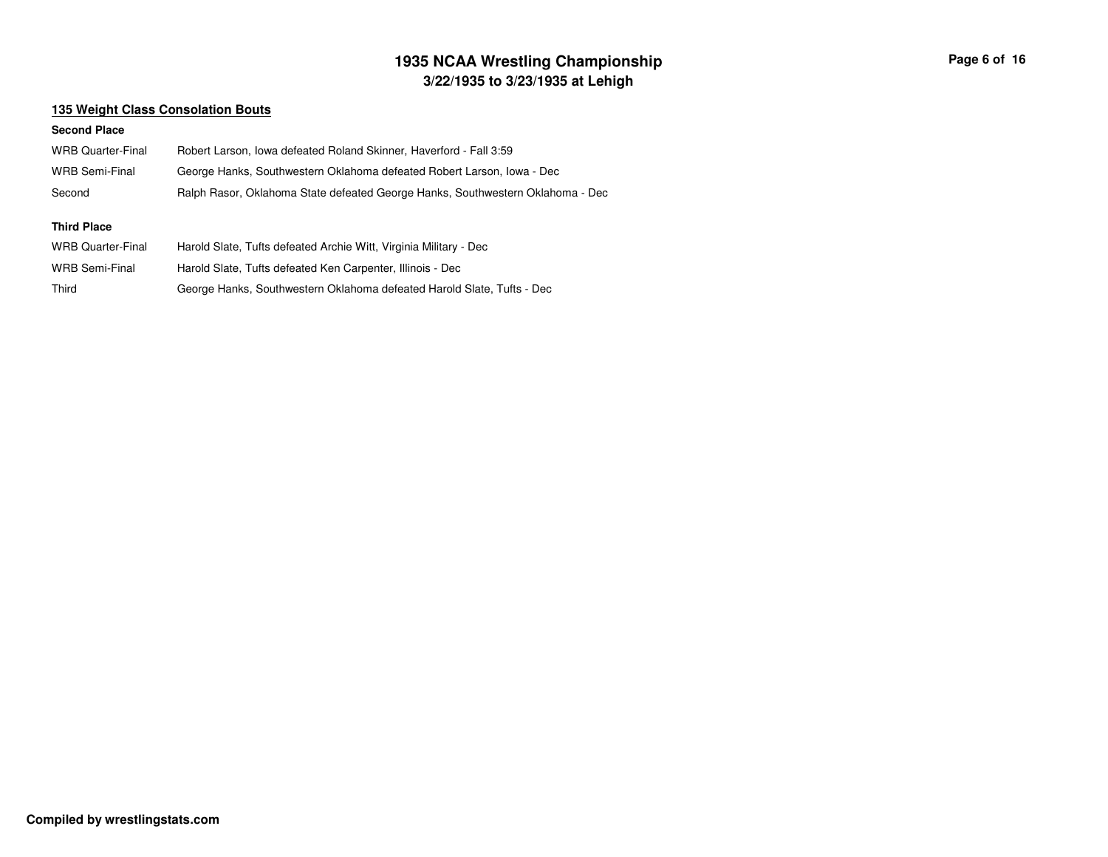## **3/22/1935 to 3/23/1935 at Lehigh 1935 NCAA Wrestling Championship Page <sup>6</sup> of <sup>16</sup>**

### **135 Weight Class Consolation Bouts**

#### **Second Place**

| <b>WRB Quarter-Final</b> | Robert Larson, Iowa defeated Roland Skinner, Haverford - Fall 3:59             |
|--------------------------|--------------------------------------------------------------------------------|
| <b>WRB Semi-Final</b>    | George Hanks, Southwestern Oklahoma defeated Robert Larson, Iowa - Dec         |
| Second                   | Ralph Rasor, Oklahoma State defeated George Hanks, Southwestern Oklahoma - Dec |
|                          |                                                                                |
|                          |                                                                                |
| Third Place              |                                                                                |
| <b>WRB Quarter-Final</b> | Harold Slate, Tufts defeated Archie Witt, Virginia Military - Dec              |
| <b>WRB Semi-Final</b>    | Harold Slate, Tufts defeated Ken Carpenter, Illinois - Dec                     |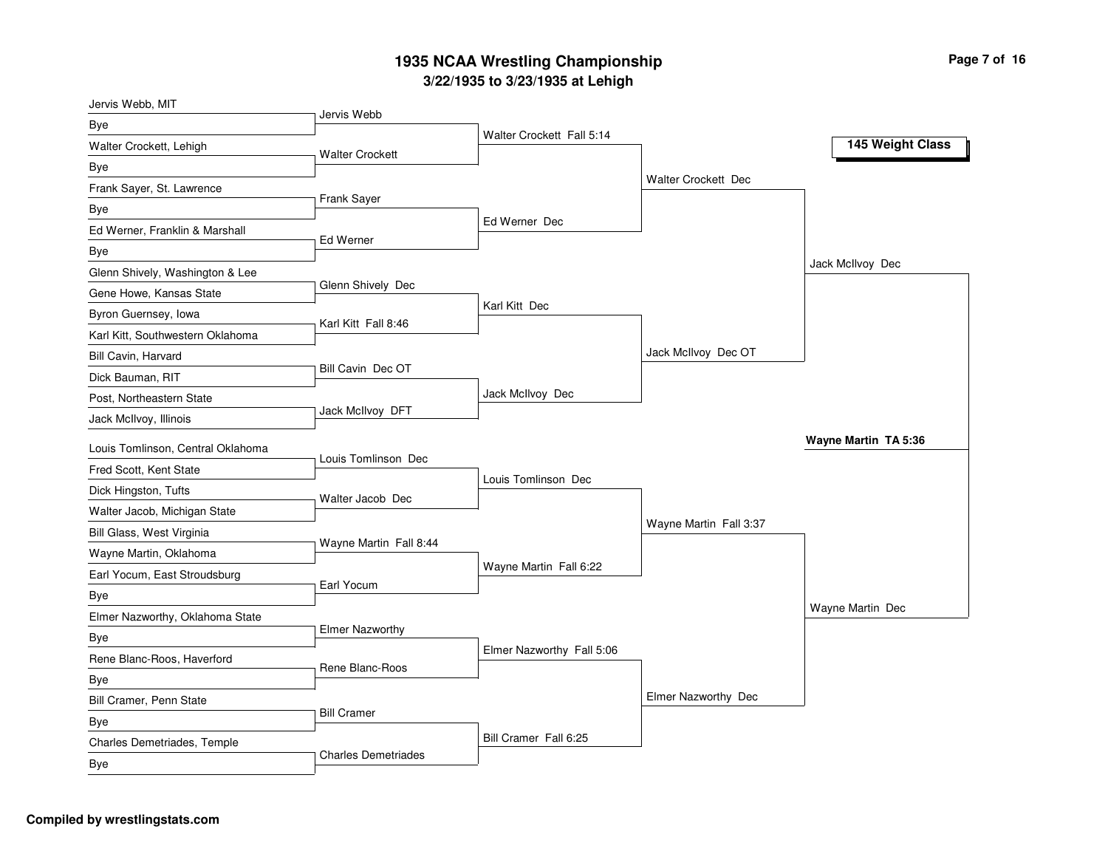### **3/2 2/19 3 5 to 3/2 3/19 3 5 at L e hig h 19 3 5 N C A A Wre stlin g C h a m pio n s hip**

| Jervis Webb, MIT                  |                            |                           |                            |                      |
|-----------------------------------|----------------------------|---------------------------|----------------------------|----------------------|
| Bye                               | Jervis Webb                |                           |                            |                      |
| Walter Crockett, Lehigh           | <b>Walter Crockett</b>     | Walter Crockett Fall 5:14 |                            | 145 Weight Class     |
| Bye                               |                            |                           |                            |                      |
| Frank Sayer, St. Lawrence         |                            |                           | <b>Walter Crockett Dec</b> |                      |
| Bye                               | Frank Sayer                |                           |                            |                      |
| Ed Werner, Franklin & Marshall    |                            | Ed Werner Dec             |                            |                      |
| Bye                               | Ed Werner                  |                           |                            |                      |
| Glenn Shively, Washington & Lee   |                            |                           |                            | Jack McIlvoy Dec     |
| Gene Howe, Kansas State           | Glenn Shively Dec          |                           |                            |                      |
| Byron Guernsey, Iowa              |                            | Karl Kitt Dec             |                            |                      |
| Karl Kitt, Southwestern Oklahoma  | Karl Kitt Fall 8:46        |                           |                            |                      |
| Bill Cavin, Harvard               |                            |                           | Jack McIlvoy Dec OT        |                      |
| Dick Bauman, RIT                  | Bill Cavin Dec OT          |                           |                            |                      |
| Post, Northeastern State          |                            | Jack McIlvoy Dec          |                            |                      |
| Jack McIlvoy, Illinois            | Jack McIlvoy DFT           |                           |                            |                      |
| Louis Tomlinson, Central Oklahoma |                            |                           |                            | Wayne Martin TA 5:36 |
| Fred Scott, Kent State            | Louis Tomlinson Dec        |                           |                            |                      |
| Dick Hingston, Tufts              |                            | Louis Tomlinson Dec       |                            |                      |
| Walter Jacob, Michigan State      | Walter Jacob Dec           |                           |                            |                      |
| Bill Glass, West Virginia         |                            |                           | Wayne Martin Fall 3:37     |                      |
| Wayne Martin, Oklahoma            | Wayne Martin Fall 8:44     |                           |                            |                      |
| Earl Yocum, East Stroudsburg      |                            | Wayne Martin Fall 6:22    |                            |                      |
| Bye                               | Earl Yocum                 |                           |                            |                      |
| Elmer Nazworthy, Oklahoma State   |                            |                           |                            | Wayne Martin Dec     |
| Bye                               | <b>Elmer Nazworthy</b>     |                           |                            |                      |
| Rene Blanc-Roos, Haverford        |                            | Elmer Nazworthy Fall 5:06 |                            |                      |
| Bye                               | Rene Blanc-Roos            |                           |                            |                      |
| Bill Cramer, Penn State           |                            |                           | Elmer Nazworthy Dec        |                      |
| Bye                               | <b>Bill Cramer</b>         |                           |                            |                      |
| Charles Demetriades, Temple       |                            | Bill Cramer Fall 6:25     |                            |                      |
| Bye                               | <b>Charles Demetriades</b> |                           |                            |                      |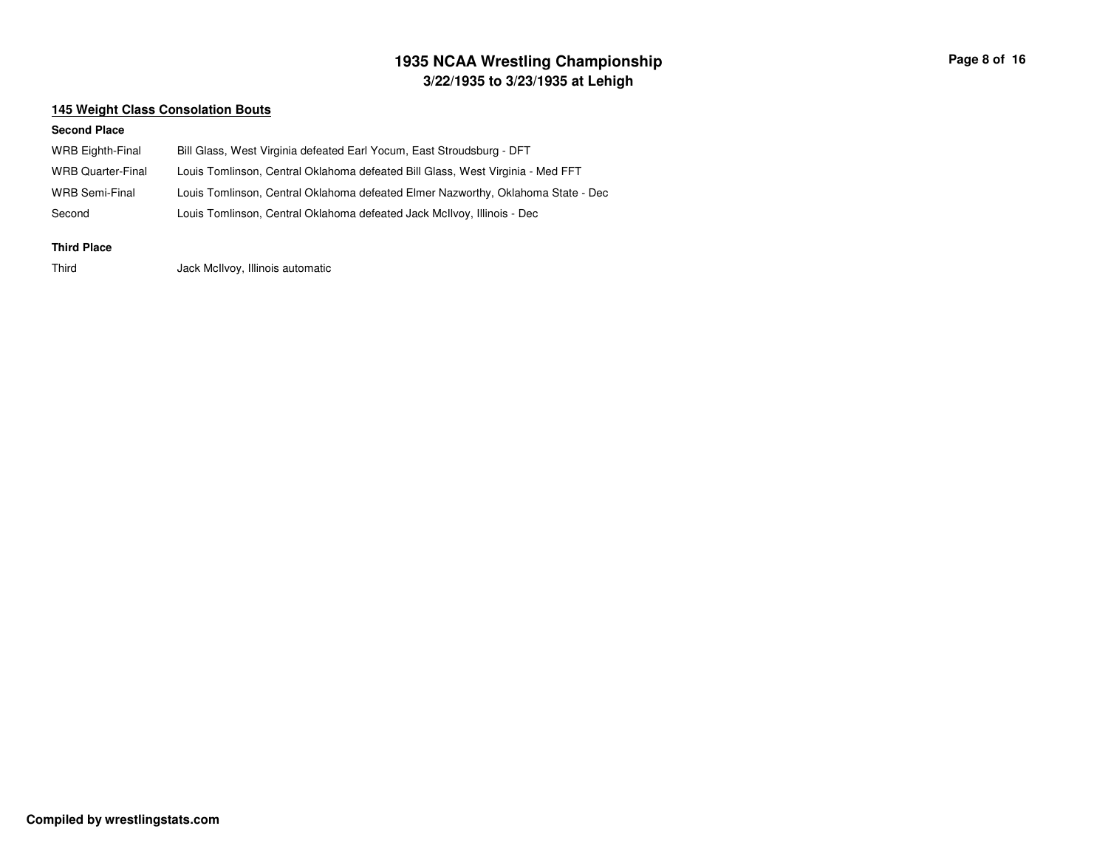## **3/22/1935 to 3/23/1935 at Lehigh 1935 NCAA Wrestling Championship Page <sup>8</sup> of <sup>16</sup>**

### **145 Weight Class Consolation Bouts**

#### **Second Place**

| <b>WRB Eighth-Final</b>  | Bill Glass, West Virginia defeated Earl Yocum, East Stroudsburg - DFT            |
|--------------------------|----------------------------------------------------------------------------------|
| <b>WRB Quarter-Final</b> | Louis Tomlinson, Central Oklahoma defeated Bill Glass, West Virginia - Med FFT   |
| WRB Semi-Final           | Louis Tomlinson, Central Oklahoma defeated Elmer Nazworthy, Oklahoma State - Dec |
| Second                   | Louis Tomlinson, Central Oklahoma defeated Jack McIlvoy, Illinois - Dec          |
|                          |                                                                                  |

#### **Third Place**

ThirdJack McIlvoy, Illinois automatic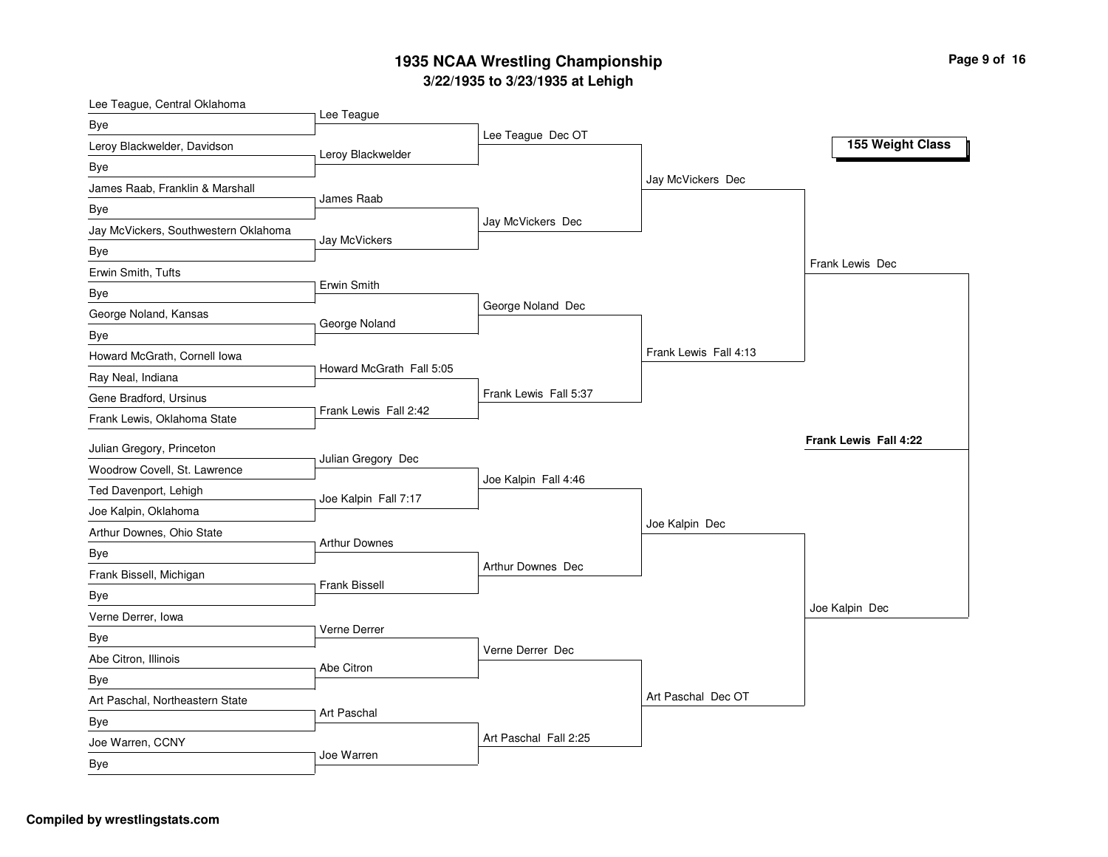### **3/2 2/19 3 5 to 3/2 3/19 3 5 at L e hig h 19 3 5 N C A A Wre stlin g C h a m pio n s hip**

| Lee Teague, Central Oklahoma         |                          |                          |                       |                       |
|--------------------------------------|--------------------------|--------------------------|-----------------------|-----------------------|
| Bye                                  | Lee Teague               | Lee Teague Dec OT        |                       |                       |
| Leroy Blackwelder, Davidson          | Leroy Blackwelder        |                          |                       | 155 Weight Class      |
| Bye                                  |                          |                          |                       |                       |
| James Raab, Franklin & Marshall      | James Raab               |                          | Jay McVickers Dec     |                       |
| Bye                                  |                          |                          |                       |                       |
| Jay McVickers, Southwestern Oklahoma | Jay McVickers            | Jay McVickers Dec        |                       |                       |
| Bye                                  |                          |                          |                       |                       |
| Erwin Smith, Tufts                   |                          |                          |                       | Frank Lewis Dec       |
| Bye                                  | Erwin Smith              |                          |                       |                       |
| George Noland, Kansas                | George Noland            | George Noland Dec        |                       |                       |
| Bye                                  |                          |                          |                       |                       |
| Howard McGrath, Cornell Iowa         |                          |                          | Frank Lewis Fall 4:13 |                       |
| Ray Neal, Indiana                    | Howard McGrath Fall 5:05 |                          |                       |                       |
| Gene Bradford, Ursinus               |                          | Frank Lewis Fall 5:37    |                       |                       |
| Frank Lewis, Oklahoma State          | Frank Lewis Fall 2:42    |                          |                       |                       |
| Julian Gregory, Princeton            |                          |                          |                       | Frank Lewis Fall 4:22 |
| Woodrow Covell, St. Lawrence         | Julian Gregory Dec       |                          |                       |                       |
| Ted Davenport, Lehigh                |                          | Joe Kalpin Fall 4:46     |                       |                       |
| Joe Kalpin, Oklahoma                 | Joe Kalpin Fall 7:17     |                          |                       |                       |
| Arthur Downes, Ohio State            |                          |                          | Joe Kalpin Dec        |                       |
| Bye                                  | <b>Arthur Downes</b>     |                          |                       |                       |
| Frank Bissell, Michigan              |                          | <b>Arthur Downes Dec</b> |                       |                       |
| Bye                                  | Frank Bissell            |                          |                       |                       |
| Verne Derrer, Iowa                   |                          |                          |                       | Joe Kalpin Dec        |
| Bye                                  | Verne Derrer             |                          |                       |                       |
| Abe Citron, Illinois                 |                          | Verne Derrer Dec         |                       |                       |
| Bye                                  | Abe Citron               |                          |                       |                       |
| Art Paschal, Northeastern State      |                          |                          | Art Paschal Dec OT    |                       |
| Bye                                  | <b>Art Paschal</b>       |                          |                       |                       |
| Joe Warren, CCNY                     |                          | Art Paschal Fall 2:25    |                       |                       |
| Bye                                  | Joe Warren               |                          |                       |                       |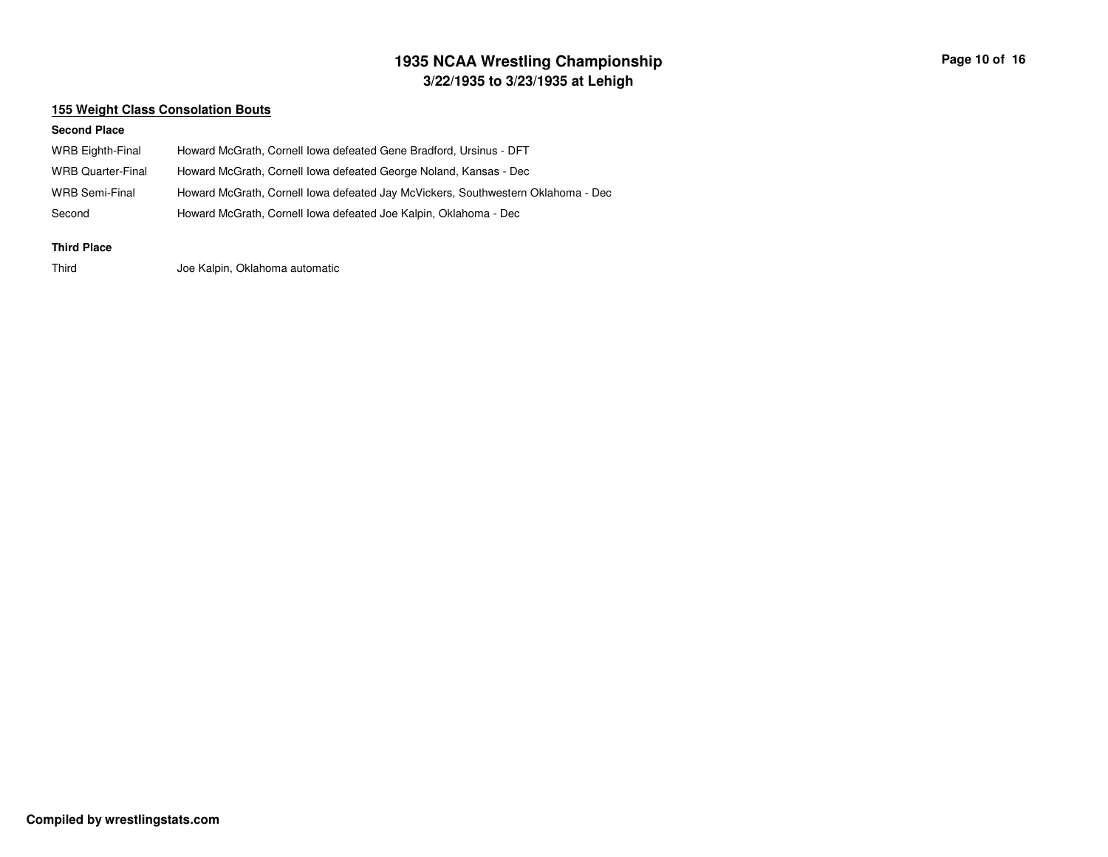## **3/22/1935 to 3/23/1935 at Lehigh 1935 NCAA Wrestling Championship Page <sup>10</sup> of <sup>16</sup>**

### **155 Weight Class Consolation Bouts**

#### **Second Place**

| Howard McGrath, Cornell Iowa defeated Gene Bradford, Ursinus - DFT               |
|----------------------------------------------------------------------------------|
| Howard McGrath, Cornell Iowa defeated George Noland, Kansas - Dec                |
| Howard McGrath, Cornell Iowa defeated Jay McVickers, Southwestern Oklahoma - Dec |
| Howard McGrath, Cornell Iowa defeated Joe Kalpin, Oklahoma - Dec                 |
|                                                                                  |

#### **Third Place**

ThirdJoe Kalpin, Oklahoma automatic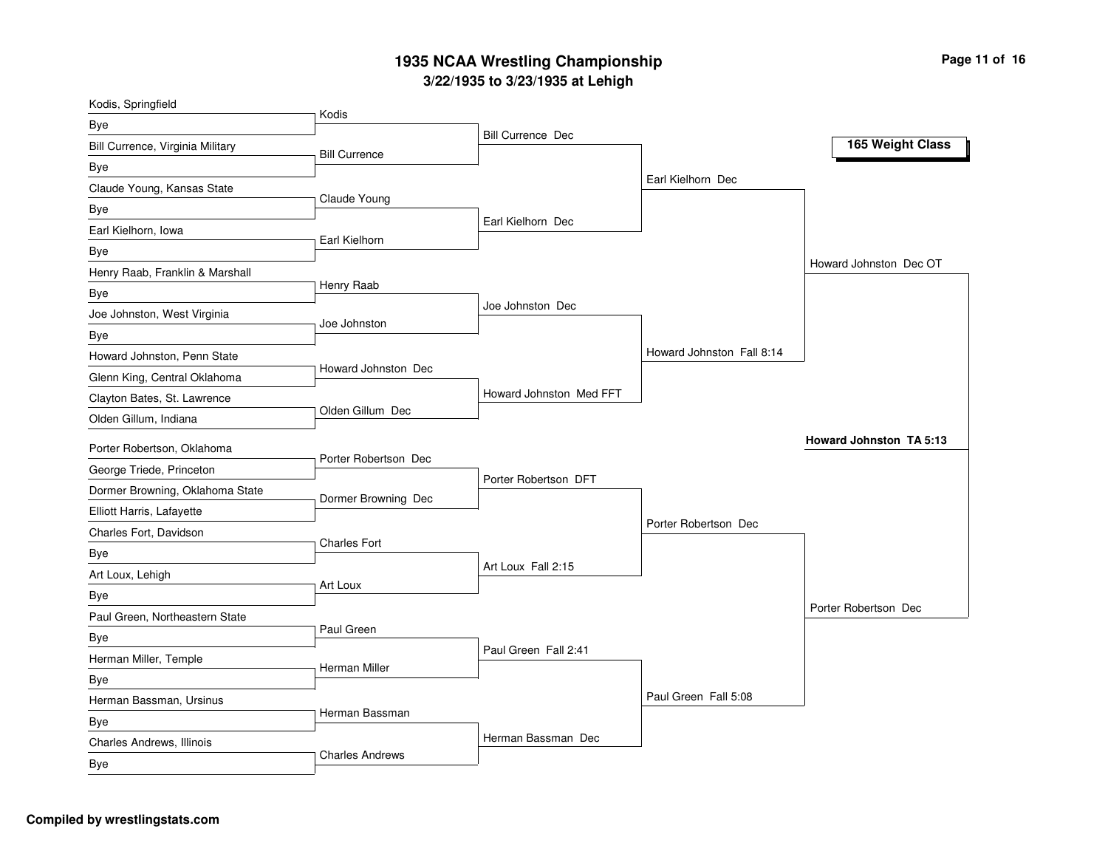### **3/2 2/19 3 5 to 3/2 3/19 3 5 at L e hig h 19 3 5 N C A A Wre stlin g C h a m pio n s hip**

| Kodis, Springfield                    |                        |                          |                           |                                |
|---------------------------------------|------------------------|--------------------------|---------------------------|--------------------------------|
| Bye                                   | Kodis                  |                          |                           |                                |
| Bill Currence, Virginia Military      | <b>Bill Currence</b>   | <b>Bill Currence Dec</b> |                           | 165 Weight Class               |
| Bye                                   |                        |                          |                           |                                |
| Claude Young, Kansas State            |                        |                          | Earl Kielhorn Dec         |                                |
| Bye                                   | Claude Young           |                          |                           |                                |
| Earl Kielhorn, Iowa                   |                        | Earl Kielhorn Dec        |                           |                                |
| Bye                                   | Earl Kielhorn          |                          |                           |                                |
| Henry Raab, Franklin & Marshall       |                        |                          |                           | Howard Johnston Dec OT         |
| Bye                                   | Henry Raab             |                          |                           |                                |
| Joe Johnston, West Virginia           | Joe Johnston           | Joe Johnston Dec         |                           |                                |
| Bye                                   |                        |                          |                           |                                |
| Howard Johnston, Penn State           |                        |                          | Howard Johnston Fall 8:14 |                                |
| Glenn King, Central Oklahoma          | Howard Johnston Dec    |                          |                           |                                |
| Clayton Bates, St. Lawrence           |                        | Howard Johnston Med FFT  |                           |                                |
| Olden Gillum, Indiana                 | Olden Gillum Dec       |                          |                           |                                |
| Porter Robertson, Oklahoma            |                        |                          |                           | <b>Howard Johnston TA 5:13</b> |
| George Triede, Princeton              | Porter Robertson Dec   |                          |                           |                                |
| Dormer Browning, Oklahoma State       |                        | Porter Robertson DFT     |                           |                                |
| Elliott Harris, Lafayette             | Dormer Browning Dec    |                          |                           |                                |
| Charles Fort, Davidson                |                        |                          | Porter Robertson Dec      |                                |
| Bye                                   | <b>Charles Fort</b>    |                          |                           |                                |
| Art Loux, Lehigh                      |                        | Art Loux Fall 2:15       |                           |                                |
|                                       | Art Loux               |                          |                           |                                |
| Bye<br>Paul Green, Northeastern State |                        |                          |                           | Porter Robertson Dec           |
|                                       | Paul Green             |                          |                           |                                |
| Bye<br>Herman Miller, Temple          |                        | Paul Green Fall 2:41     |                           |                                |
|                                       | Herman Miller          |                          |                           |                                |
| Bye                                   |                        |                          | Paul Green Fall 5:08      |                                |
| Herman Bassman, Ursinus               | Herman Bassman         |                          |                           |                                |
| Bye                                   |                        | Herman Bassman Dec       |                           |                                |
| Charles Andrews, Illinois             | <b>Charles Andrews</b> |                          |                           |                                |
| Bye                                   |                        |                          |                           |                                |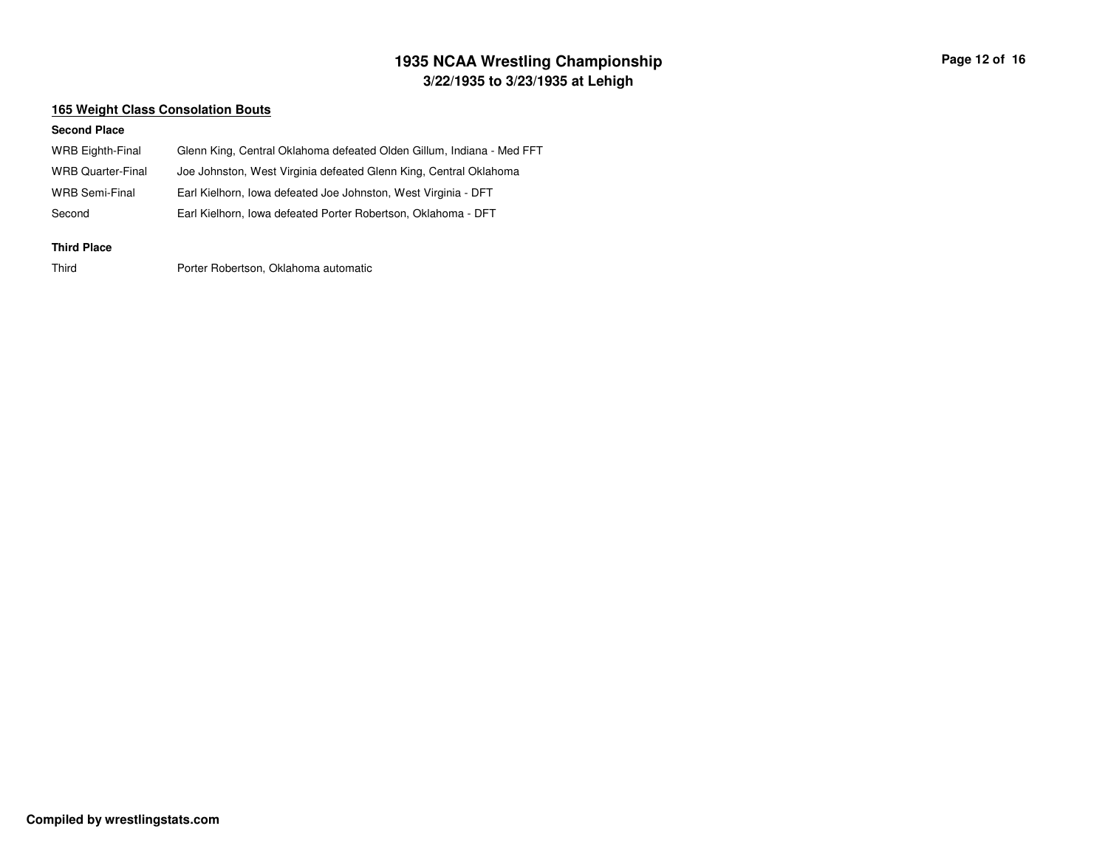## **3/22/1935 to 3/23/1935 at Lehigh 1935 NCAA Wrestling Championship Page <sup>12</sup> of <sup>16</sup>**

### **165 Weight Class Consolation Bouts**

#### **Second Place**

| <b>WRB Eighth-Final</b>  | Glenn King, Central Oklahoma defeated Olden Gillum, Indiana - Med FFT |
|--------------------------|-----------------------------------------------------------------------|
| <b>WRB Quarter-Final</b> | Joe Johnston, West Virginia defeated Glenn King, Central Oklahoma     |
| WRB Semi-Final           | Earl Kielhorn, Iowa defeated Joe Johnston, West Virginia - DFT        |
| Second                   | Earl Kielhorn, Iowa defeated Porter Robertson, Oklahoma - DFT         |
| <b>Third Place</b>       |                                                                       |

Third

Porter Robertson, Oklahoma automatic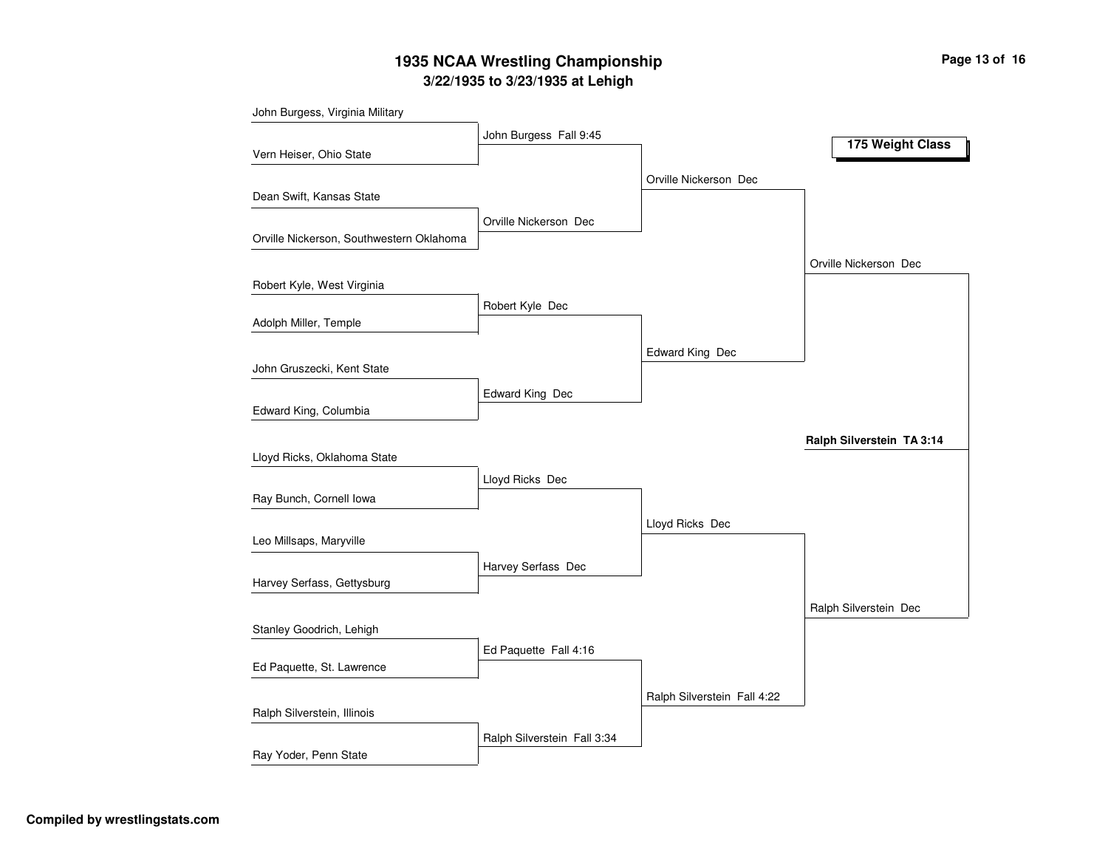## **3/22/1935 to 3/23/1935 at Lehigh 1935 NCAA Wrestling Championship Page <sup>13</sup> of <sup>16</sup>**

| John Burgess, Virginia Military          |                             |                             |                           |
|------------------------------------------|-----------------------------|-----------------------------|---------------------------|
|                                          | John Burgess Fall 9:45      |                             | 175 Weight Class          |
| Vern Heiser, Ohio State                  |                             |                             |                           |
|                                          |                             | Orville Nickerson Dec       |                           |
| Dean Swift, Kansas State                 |                             |                             |                           |
|                                          | Orville Nickerson Dec       |                             |                           |
| Orville Nickerson, Southwestern Oklahoma |                             |                             |                           |
|                                          |                             |                             | Orville Nickerson Dec     |
| Robert Kyle, West Virginia               |                             |                             |                           |
|                                          | Robert Kyle Dec             |                             |                           |
| Adolph Miller, Temple                    |                             |                             |                           |
|                                          |                             | Edward King Dec             |                           |
| John Gruszecki, Kent State               |                             |                             |                           |
|                                          | Edward King Dec             |                             |                           |
| Edward King, Columbia                    |                             |                             |                           |
|                                          |                             |                             | Ralph Silverstein TA 3:14 |
| Lloyd Ricks, Oklahoma State              |                             |                             |                           |
|                                          | Lloyd Ricks Dec             |                             |                           |
| Ray Bunch, Cornell Iowa                  |                             |                             |                           |
|                                          |                             | Lloyd Ricks Dec             |                           |
| Leo Millsaps, Maryville                  |                             |                             |                           |
|                                          | Harvey Serfass Dec          |                             |                           |
| Harvey Serfass, Gettysburg               |                             |                             |                           |
|                                          |                             |                             | Ralph Silverstein Dec     |
| Stanley Goodrich, Lehigh                 |                             |                             |                           |
| Ed Paquette, St. Lawrence                | Ed Paquette Fall 4:16       |                             |                           |
|                                          |                             |                             |                           |
|                                          |                             | Ralph Silverstein Fall 4:22 |                           |
| Ralph Silverstein, Illinois              |                             |                             |                           |
| Ray Yoder, Penn State                    | Ralph Silverstein Fall 3:34 |                             |                           |
|                                          |                             |                             |                           |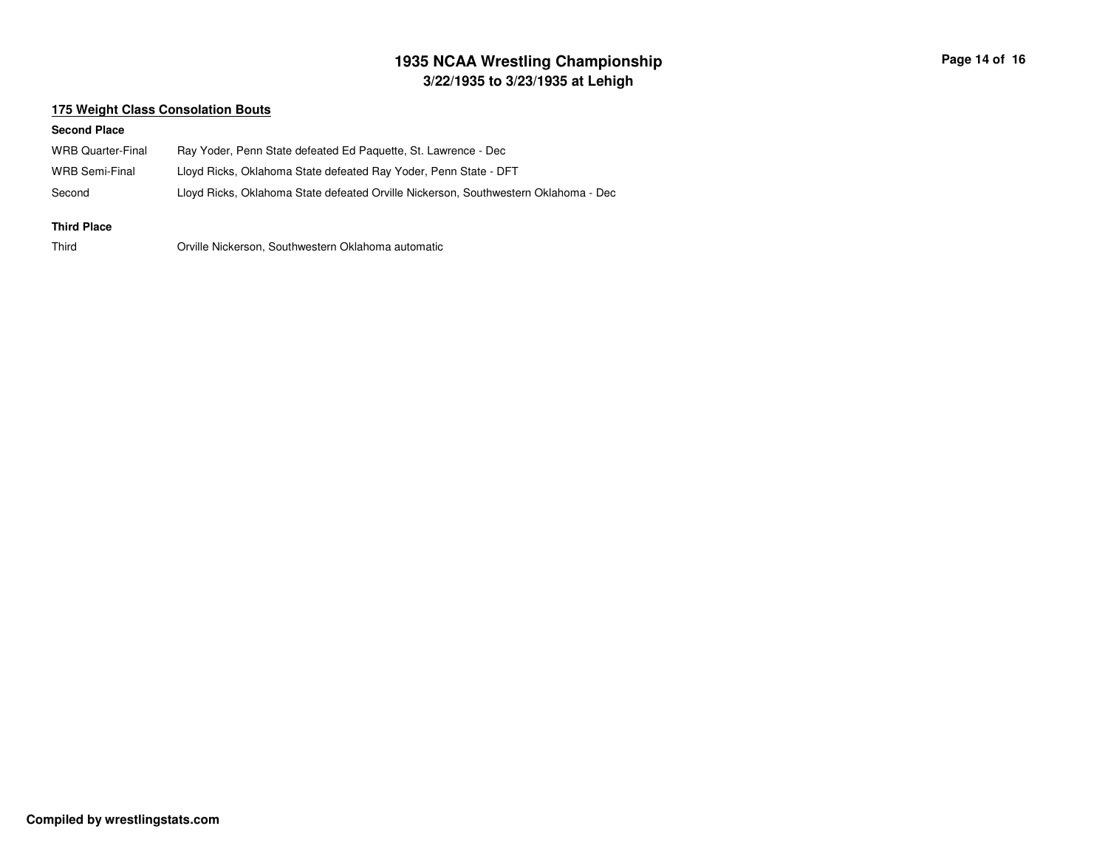## **3/22/1935 to 3/23/1935 at Lehigh 1935 NCAA Wrestling Championship Page <sup>14</sup> of <sup>16</sup>**

### **175 Weight Class Consolation Bouts**

#### **Second Place**

| WRB Quarter-Final | Ray Yoder, Penn State defeated Ed Paquette, St. Lawrence - Dec                      |
|-------------------|-------------------------------------------------------------------------------------|
| WRB Semi-Final    | Lloyd Ricks, Oklahoma State defeated Ray Yoder, Penn State - DFT                    |
| Second            | Lloyd Ricks, Oklahoma State defeated Orville Nickerson, Southwestern Oklahoma - Dec |

#### **Third Place**

Third

Orville Nickerson, Southwestern Oklahoma automatic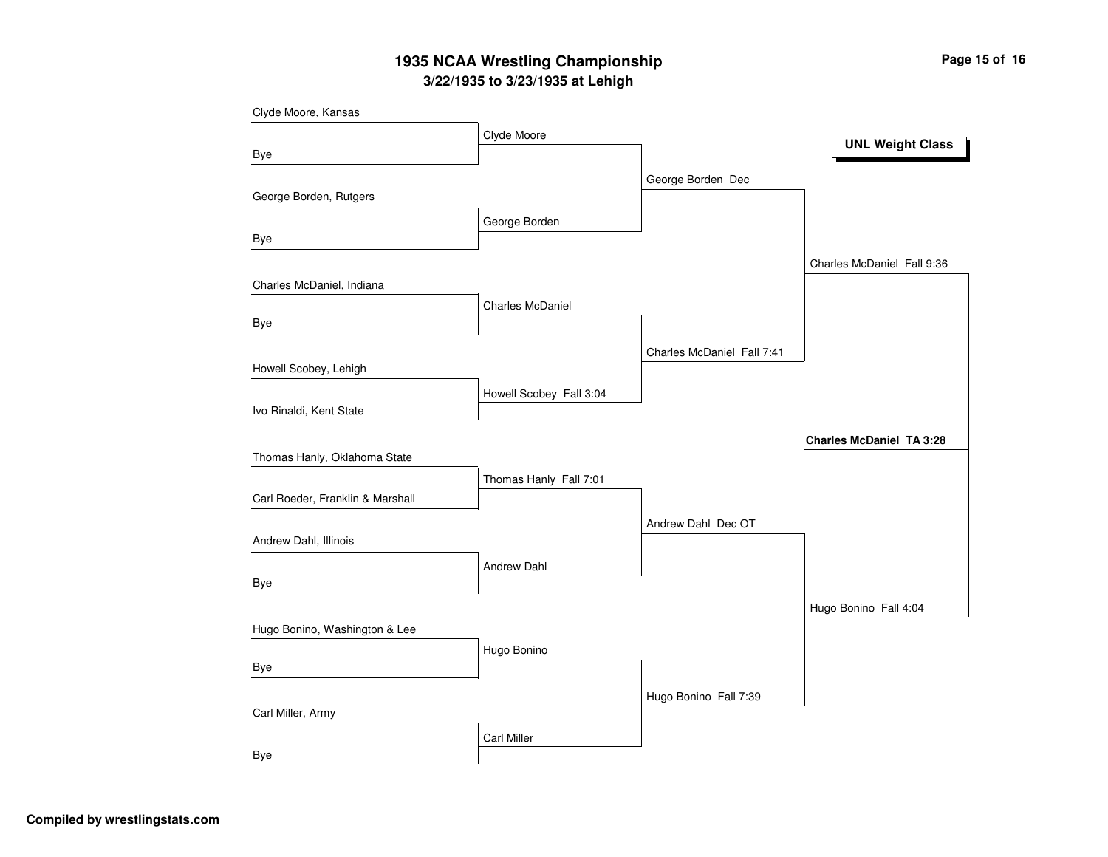### **3/22/1935 to 3/23/1935 at Lehigh 1935 NCAA Wrestling Championship Page <sup>15</sup> of <sup>16</sup>**

| Clyde Moore, Kansas              |                         |                            |                                 |
|----------------------------------|-------------------------|----------------------------|---------------------------------|
|                                  | Clyde Moore             |                            |                                 |
| <b>Bye</b>                       |                         |                            | <b>UNL Weight Class</b>         |
|                                  |                         | George Borden Dec          |                                 |
| George Borden, Rutgers           |                         |                            |                                 |
|                                  | George Borden           |                            |                                 |
| <b>Bye</b>                       |                         |                            |                                 |
|                                  |                         |                            | Charles McDaniel Fall 9:36      |
| Charles McDaniel, Indiana        |                         |                            |                                 |
|                                  | <b>Charles McDaniel</b> |                            |                                 |
| Bye                              |                         |                            |                                 |
|                                  |                         | Charles McDaniel Fall 7:41 |                                 |
| Howell Scobey, Lehigh            |                         |                            |                                 |
|                                  | Howell Scobey Fall 3:04 |                            |                                 |
| Ivo Rinaldi, Kent State          |                         |                            |                                 |
|                                  |                         |                            | <b>Charles McDaniel TA 3:28</b> |
| Thomas Hanly, Oklahoma State     |                         |                            |                                 |
|                                  | Thomas Hanly Fall 7:01  |                            |                                 |
| Carl Roeder, Franklin & Marshall |                         |                            |                                 |
|                                  |                         | Andrew Dahl Dec OT         |                                 |
| Andrew Dahl, Illinois            |                         |                            |                                 |
|                                  | Andrew Dahl             |                            |                                 |
| Bye                              |                         |                            |                                 |
|                                  |                         |                            | Hugo Bonino Fall 4:04           |
| Hugo Bonino, Washington & Lee    |                         |                            |                                 |
|                                  | Hugo Bonino             |                            |                                 |
| Bye                              |                         |                            |                                 |
|                                  |                         | Hugo Bonino Fall 7:39      |                                 |
| Carl Miller, Army                |                         |                            |                                 |
|                                  | <b>Carl Miller</b>      |                            |                                 |
| <b>Bye</b>                       |                         |                            |                                 |